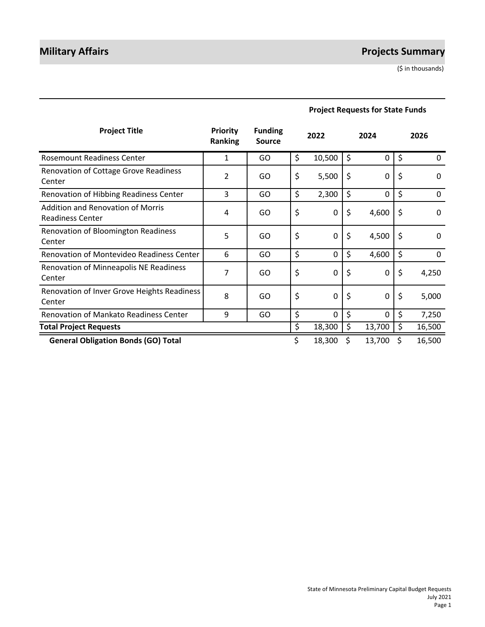# **Military Affairs Projects Summary**

(\$ in thousands)

| <b>Project Title</b>                                                | <b>Priority</b><br><b>Ranking</b> | <b>Funding</b><br><b>Source</b> | 2022               | 2024           | 2026           |
|---------------------------------------------------------------------|-----------------------------------|---------------------------------|--------------------|----------------|----------------|
| <b>Rosemount Readiness Center</b>                                   | 1                                 | GO                              | \$<br>10,500       | \$<br>0        | \$<br>$\Omega$ |
| Renovation of Cottage Grove Readiness<br>Center                     | 2                                 | GO                              | \$<br>5,500        | \$<br>0        | \$<br>$\Omega$ |
| Renovation of Hibbing Readiness Center                              | 3                                 | GO.                             | \$<br>2,300        | \$<br>0        | \$<br>0        |
| <b>Addition and Renovation of Morris</b><br><b>Readiness Center</b> | 4                                 | GO.                             | \$<br>0            | \$<br>4,600    | \$<br>$\Omega$ |
| Renovation of Bloomington Readiness<br>Center                       | 5                                 | GO                              | \$<br>0            | \$<br>4,500    | \$<br>$\Omega$ |
| Renovation of Montevideo Readiness Center                           | 6                                 | GO                              | \$<br>$\mathbf{0}$ | \$<br>4,600    | \$<br>0        |
| Renovation of Minneapolis NE Readiness<br>Center                    | 7                                 | GO                              | \$<br>0            | \$<br>0        | \$<br>4,250    |
| Renovation of Inver Grove Heights Readiness<br>Center               | 8                                 | GO                              | \$<br>$\mathbf{0}$ | \$<br>0        | \$<br>5,000    |
| <b>Renovation of Mankato Readiness Center</b>                       | 9                                 | GO                              | \$<br>$\Omega$     | \$<br>$\Omega$ | \$<br>7,250    |
| <b>Total Project Requests</b>                                       |                                   |                                 | \$<br>18,300       | \$<br>13,700   | \$<br>16,500   |
| <b>General Obligation Bonds (GO) Total</b>                          |                                   |                                 | \$<br>18,300       | 13,700         | \$<br>16,500   |

## **Project Requests for State Funds**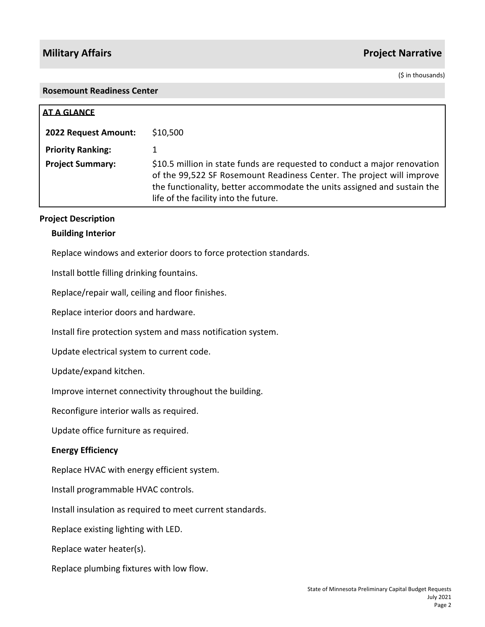(\$ in thousands)

#### **Rosemount Readiness Center**

| <b>AT A GLANCE</b>       |                                                                                                                                                                                                                                                                         |
|--------------------------|-------------------------------------------------------------------------------------------------------------------------------------------------------------------------------------------------------------------------------------------------------------------------|
| 2022 Request Amount:     | \$10,500                                                                                                                                                                                                                                                                |
| <b>Priority Ranking:</b> |                                                                                                                                                                                                                                                                         |
| <b>Project Summary:</b>  | \$10.5 million in state funds are requested to conduct a major renovation<br>of the 99,522 SF Rosemount Readiness Center. The project will improve<br>the functionality, better accommodate the units assigned and sustain the<br>life of the facility into the future. |

#### **Project Description**

#### **Building Interior**

Replace windows and exterior doors to force protection standards.

Install bottle filling drinking fountains.

Replace/repair wall, ceiling and floor finishes.

Replace interior doors and hardware.

Install fire protection system and mass notification system.

Update electrical system to current code.

Update/expand kitchen.

Improve internet connectivity throughout the building.

Reconfigure interior walls as required.

Update office furniture as required.

### **Energy Efficiency**

Replace HVAC with energy efficient system.

Install programmable HVAC controls.

Install insulation as required to meet current standards.

Replace existing lighting with LED.

Replace water heater(s).

Replace plumbing fixtures with low flow.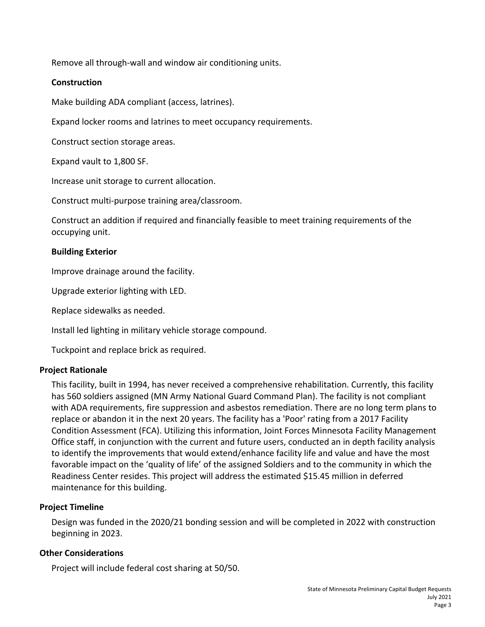Remove all through-wall and window air conditioning units.

## **Construction**

Make building ADA compliant (access, latrines).

Expand locker rooms and latrines to meet occupancy requirements.

Construct section storage areas.

Expand vault to 1,800 SF.

Increase unit storage to current allocation.

Construct multi-purpose training area/classroom.

Construct an addition if required and financially feasible to meet training requirements of the occupying unit.

### **Building Exterior**

Improve drainage around the facility.

Upgrade exterior lighting with LED.

Replace sidewalks as needed.

Install led lighting in military vehicle storage compound.

Tuckpoint and replace brick as required.

### **Project Rationale**

This facility, built in 1994, has never received a comprehensive rehabilitation. Currently, this facility has 560 soldiers assigned (MN Army National Guard Command Plan). The facility is not compliant with ADA requirements, fire suppression and asbestos remediation. There are no long term plans to replace or abandon it in the next 20 years. The facility has a 'Poor' rating from a 2017 Facility Condition Assessment (FCA). Utilizing this information, Joint Forces Minnesota Facility Management Office staff, in conjunction with the current and future users, conducted an in depth facility analysis to identify the improvements that would extend/enhance facility life and value and have the most favorable impact on the 'quality of life' of the assigned Soldiers and to the community in which the Readiness Center resides. This project will address the estimated \$15.45 million in deferred maintenance for this building.

### **Project Timeline**

Design was funded in the 2020/21 bonding session and will be completed in 2022 with construction beginning in 2023.

## **Other Considerations**

Project will include federal cost sharing at 50/50.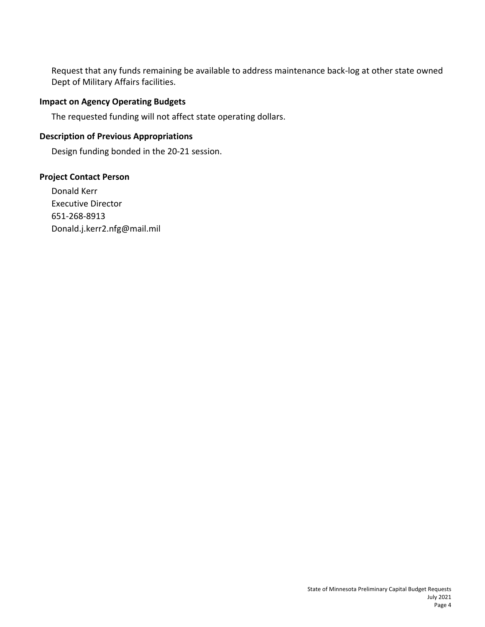Request that any funds remaining be available to address maintenance back-log at other state owned Dept of Military Affairs facilities.

## **Impact on Agency Operating Budgets**

The requested funding will not affect state operating dollars.

## **Description of Previous Appropriations**

Design funding bonded in the 20-21 session.

## **Project Contact Person**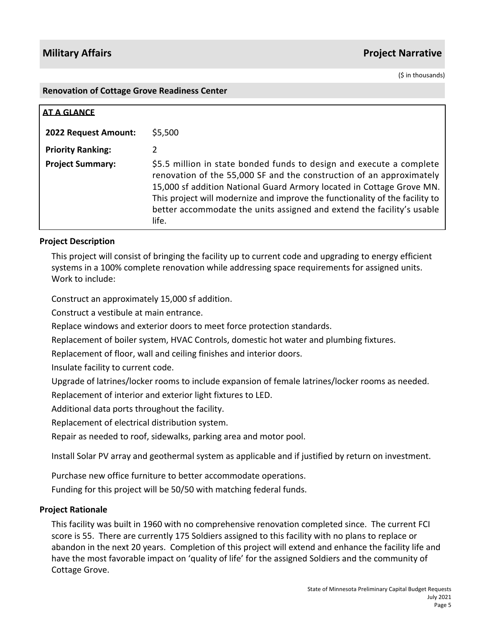(\$ in thousands)

#### **Renovation of Cottage Grove Readiness Center**

| <b>AT A GLANCE</b>          |                                                                                                                                                                                                                                                                                                                                                                                          |
|-----------------------------|------------------------------------------------------------------------------------------------------------------------------------------------------------------------------------------------------------------------------------------------------------------------------------------------------------------------------------------------------------------------------------------|
| <b>2022 Request Amount:</b> | \$5,500                                                                                                                                                                                                                                                                                                                                                                                  |
| <b>Priority Ranking:</b>    | 2                                                                                                                                                                                                                                                                                                                                                                                        |
| <b>Project Summary:</b>     | \$5.5 million in state bonded funds to design and execute a complete<br>renovation of the 55,000 SF and the construction of an approximately<br>15,000 sf addition National Guard Armory located in Cottage Grove MN.<br>This project will modernize and improve the functionality of the facility to<br>better accommodate the units assigned and extend the facility's usable<br>life. |

## **Project Description**

This project will consist of bringing the facility up to current code and upgrading to energy efficient systems in a 100% complete renovation while addressing space requirements for assigned units. Work to include:

Construct an approximately 15,000 sf addition.

Construct a vestibule at main entrance.

Replace windows and exterior doors to meet force protection standards.

Replacement of boiler system, HVAC Controls, domestic hot water and plumbing fixtures.

Replacement of floor, wall and ceiling finishes and interior doors.

Insulate facility to current code.

Upgrade of latrines/locker rooms to include expansion of female latrines/locker rooms as needed.

Replacement of interior and exterior light fixtures to LED.

Additional data ports throughout the facility.

Replacement of electrical distribution system.

Repair as needed to roof, sidewalks, parking area and motor pool.

Install Solar PV array and geothermal system as applicable and if justified by return on investment.

Purchase new office furniture to better accommodate operations.

Funding for this project will be 50/50 with matching federal funds.

## **Project Rationale**

This facility was built in 1960 with no comprehensive renovation completed since. The current FCI score is 55. There are currently 175 Soldiers assigned to this facility with no plans to replace or abandon in the next 20 years. Completion of this project will extend and enhance the facility life and have the most favorable impact on 'quality of life' for the assigned Soldiers and the community of Cottage Grove.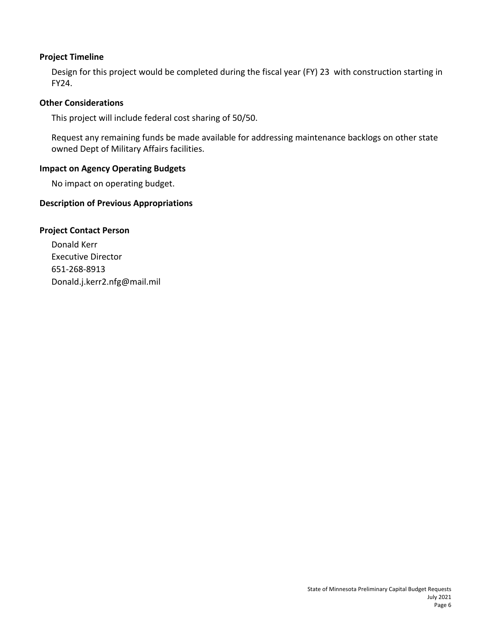Design for this project would be completed during the fiscal year (FY) 23 with construction starting in FY24.

## **Other Considerations**

This project will include federal cost sharing of 50/50.

Request any remaining funds be made available for addressing maintenance backlogs on other state owned Dept of Military Affairs facilities.

## **Impact on Agency Operating Budgets**

No impact on operating budget.

## **Description of Previous Appropriations**

## **Project Contact Person**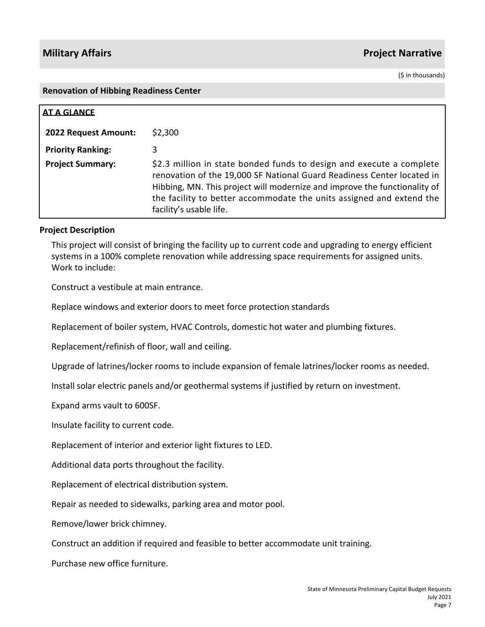(\$ in thousands)

#### **Renovation of Hibbing Readiness Center**

| <b>AT A GLANCE</b>       |                                                                                                                                                                                                                                                                                                                                |
|--------------------------|--------------------------------------------------------------------------------------------------------------------------------------------------------------------------------------------------------------------------------------------------------------------------------------------------------------------------------|
| 2022 Request Amount:     | \$2,300                                                                                                                                                                                                                                                                                                                        |
| <b>Priority Ranking:</b> | 3                                                                                                                                                                                                                                                                                                                              |
| <b>Project Summary:</b>  | \$2.3 million in state bonded funds to design and execute a complete<br>renovation of the 19,000 SF National Guard Readiness Center located in<br>Hibbing, MN. This project will modernize and improve the functionality of<br>the facility to better accommodate the units assigned and extend the<br>facility's usable life. |

### **Project Description**

This project will consist of bringing the facility up to current code and upgrading to energy efficient systems in a 100% complete renovation while addressing space requirements for assigned units. Work to include:

Construct a vestibule at main entrance.

Replace windows and exterior doors to meet force protection standards

Replacement of boiler system, HVAC Controls, domestic hot water and plumbing fixtures.

Replacement/refinish of floor, wall and ceiling.

Upgrade of latrines/locker rooms to include expansion of female latrines/locker rooms as needed.

Install solar electric panels and/or geothermal systems if justified by return on investment.

Expand arms vault to 600SF.

Insulate facility to current code.

Replacement of interior and exterior light fixtures to LED.

Additional data ports throughout the facility.

Replacement of electrical distribution system.

Repair as needed to sidewalks, parking area and motor pool.

Remove/lower brick chimney.

Construct an addition if required and feasible to better accommodate unit training.

Purchase new office furniture.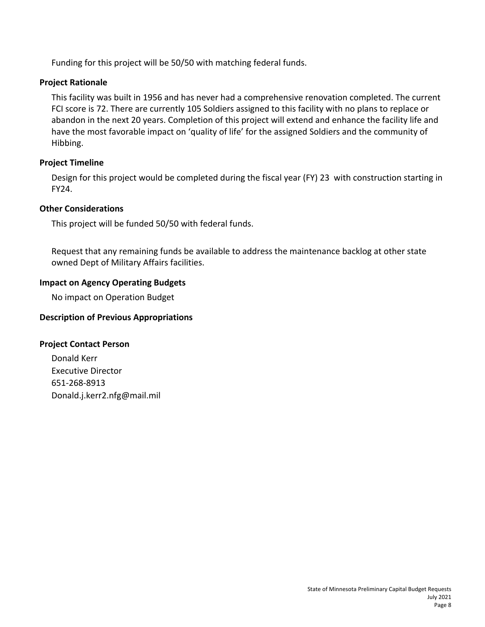Funding for this project will be 50/50 with matching federal funds.

## **Project Rationale**

This facility was built in 1956 and has never had a comprehensive renovation completed. The current FCI score is 72. There are currently 105 Soldiers assigned to this facility with no plans to replace or abandon in the next 20 years. Completion of this project will extend and enhance the facility life and have the most favorable impact on 'quality of life' for the assigned Soldiers and the community of Hibbing.

## **Project Timeline**

Design for this project would be completed during the fiscal year (FY) 23 with construction starting in FY24.

### **Other Considerations**

This project will be funded 50/50 with federal funds.

Request that any remaining funds be available to address the maintenance backlog at other state owned Dept of Military Affairs facilities.

## **Impact on Agency Operating Budgets**

No impact on Operation Budget

## **Description of Previous Appropriations**

### **Project Contact Person**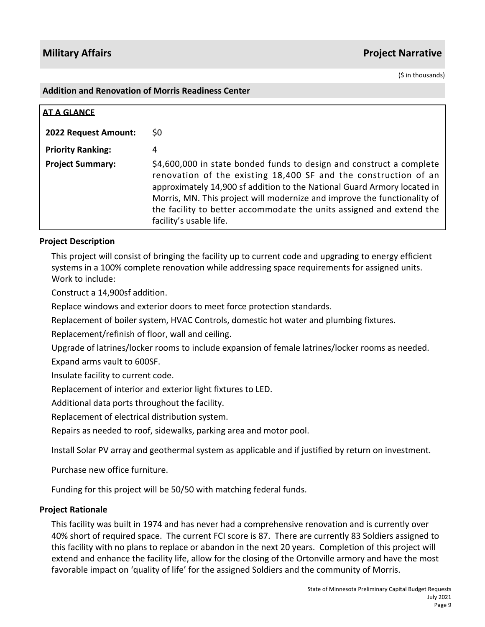(\$ in thousands)

#### **Addition and Renovation of Morris Readiness Center**

| <b>AT A GLANCE</b>          |                                                                                                                                                                                                                                                                                                                                                                                                    |
|-----------------------------|----------------------------------------------------------------------------------------------------------------------------------------------------------------------------------------------------------------------------------------------------------------------------------------------------------------------------------------------------------------------------------------------------|
| <b>2022 Request Amount:</b> | S0                                                                                                                                                                                                                                                                                                                                                                                                 |
| <b>Priority Ranking:</b>    | 4                                                                                                                                                                                                                                                                                                                                                                                                  |
| <b>Project Summary:</b>     | \$4,600,000 in state bonded funds to design and construct a complete<br>renovation of the existing 18,400 SF and the construction of an<br>approximately 14,900 sf addition to the National Guard Armory located in<br>Morris, MN. This project will modernize and improve the functionality of<br>the facility to better accommodate the units assigned and extend the<br>facility's usable life. |

## **Project Description**

This project will consist of bringing the facility up to current code and upgrading to energy efficient systems in a 100% complete renovation while addressing space requirements for assigned units. Work to include:

Construct a 14,900sf addition.

Replace windows and exterior doors to meet force protection standards.

Replacement of boiler system, HVAC Controls, domestic hot water and plumbing fixtures.

Replacement/refinish of floor, wall and ceiling.

Upgrade of latrines/locker rooms to include expansion of female latrines/locker rooms as needed. Expand arms vault to 600SF.

Insulate facility to current code.

Replacement of interior and exterior light fixtures to LED.

Additional data ports throughout the facility.

Replacement of electrical distribution system.

Repairs as needed to roof, sidewalks, parking area and motor pool.

Install Solar PV array and geothermal system as applicable and if justified by return on investment.

Purchase new office furniture.

Funding for this project will be 50/50 with matching federal funds.

### **Project Rationale**

This facility was built in 1974 and has never had a comprehensive renovation and is currently over 40% short of required space. The current FCI score is 87. There are currently 83 Soldiers assigned to this facility with no plans to replace or abandon in the next 20 years. Completion of this project will extend and enhance the facility life, allow for the closing of the Ortonville armory and have the most favorable impact on 'quality of life' for the assigned Soldiers and the community of Morris.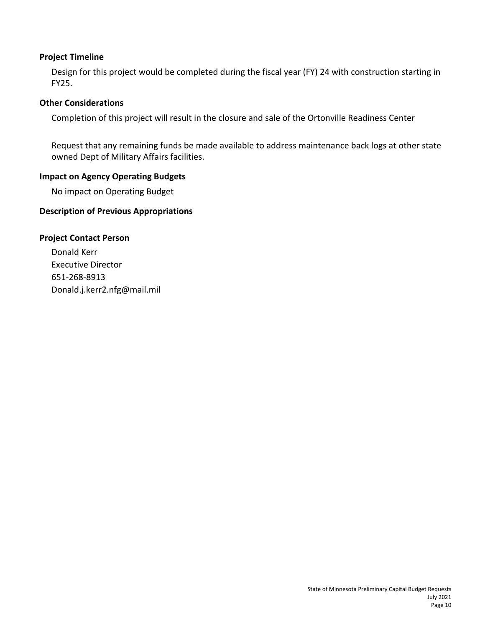Design for this project would be completed during the fiscal year (FY) 24 with construction starting in FY25.

## **Other Considerations**

Completion of this project will result in the closure and sale of the Ortonville Readiness Center

Request that any remaining funds be made available to address maintenance back logs at other state owned Dept of Military Affairs facilities.

## **Impact on Agency Operating Budgets**

No impact on Operating Budget

## **Description of Previous Appropriations**

## **Project Contact Person**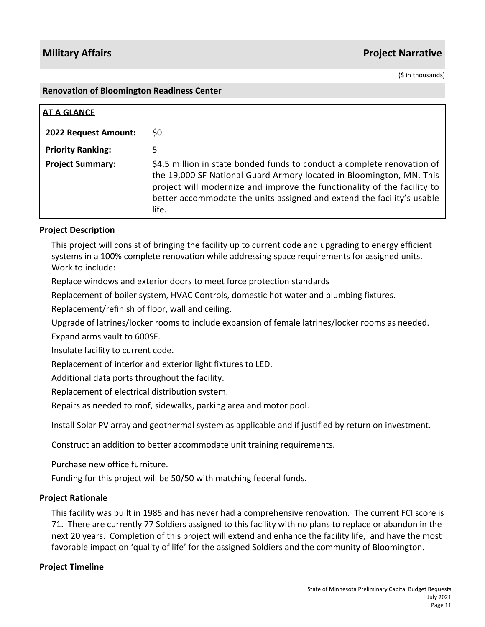(\$ in thousands)

#### **Renovation of Bloomington Readiness Center**

| <b>AT A GLANCE</b>          |                                                                                                                                                                                                                                                                                                               |
|-----------------------------|---------------------------------------------------------------------------------------------------------------------------------------------------------------------------------------------------------------------------------------------------------------------------------------------------------------|
| <b>2022 Request Amount:</b> | S0                                                                                                                                                                                                                                                                                                            |
| <b>Priority Ranking:</b>    | 5                                                                                                                                                                                                                                                                                                             |
| <b>Project Summary:</b>     | \$4.5 million in state bonded funds to conduct a complete renovation of<br>the 19,000 SF National Guard Armory located in Bloomington, MN. This<br>project will modernize and improve the functionality of the facility to<br>better accommodate the units assigned and extend the facility's usable<br>life. |

### **Project Description**

This project will consist of bringing the facility up to current code and upgrading to energy efficient systems in a 100% complete renovation while addressing space requirements for assigned units. Work to include:

Replace windows and exterior doors to meet force protection standards

Replacement of boiler system, HVAC Controls, domestic hot water and plumbing fixtures.

Replacement/refinish of floor, wall and ceiling.

Upgrade of latrines/locker rooms to include expansion of female latrines/locker rooms as needed.

Expand arms vault to 600SF.

Insulate facility to current code.

Replacement of interior and exterior light fixtures to LED.

Additional data ports throughout the facility.

Replacement of electrical distribution system.

Repairs as needed to roof, sidewalks, parking area and motor pool.

Install Solar PV array and geothermal system as applicable and if justified by return on investment.

Construct an addition to better accommodate unit training requirements.

Purchase new office furniture.

Funding for this project will be 50/50 with matching federal funds.

#### **Project Rationale**

This facility was built in 1985 and has never had a comprehensive renovation. The current FCI score is 71. There are currently 77 Soldiers assigned to this facility with no plans to replace or abandon in the next 20 years. Completion of this project will extend and enhance the facility life, and have the most favorable impact on 'quality of life' for the assigned Soldiers and the community of Bloomington.

#### **Project Timeline**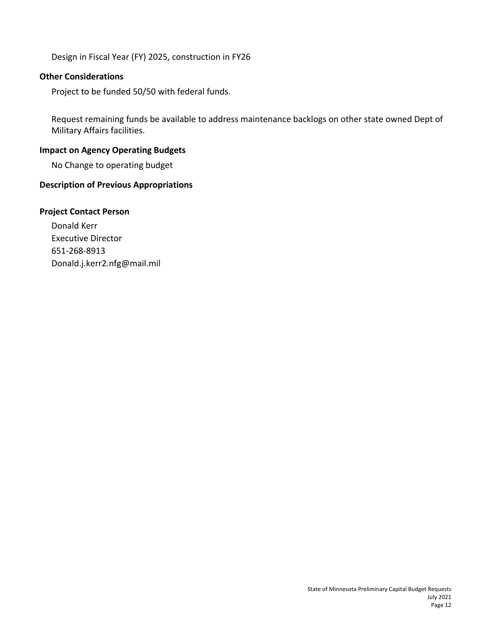Design in Fiscal Year (FY) 2025, construction in FY26

## **Other Considerations**

Project to be funded 50/50 with federal funds.

Request remaining funds be available to address maintenance backlogs on other state owned Dept of Military Affairs facilities.

## **Impact on Agency Operating Budgets**

No Change to operating budget

## **Description of Previous Appropriations**

### **Project Contact Person**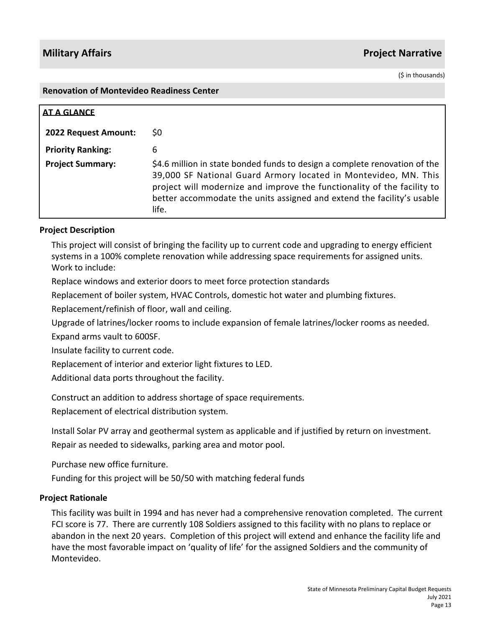(\$ in thousands)

#### **Renovation of Montevideo Readiness Center**

| <b>AT A GLANCE</b>       |                                                                                                                                                                                                                                                                                                             |
|--------------------------|-------------------------------------------------------------------------------------------------------------------------------------------------------------------------------------------------------------------------------------------------------------------------------------------------------------|
| 2022 Request Amount:     | SO.                                                                                                                                                                                                                                                                                                         |
| <b>Priority Ranking:</b> | 6                                                                                                                                                                                                                                                                                                           |
| <b>Project Summary:</b>  | \$4.6 million in state bonded funds to design a complete renovation of the<br>39,000 SF National Guard Armory located in Montevideo, MN. This<br>project will modernize and improve the functionality of the facility to<br>better accommodate the units assigned and extend the facility's usable<br>life. |

### **Project Description**

This project will consist of bringing the facility up to current code and upgrading to energy efficient systems in a 100% complete renovation while addressing space requirements for assigned units. Work to include:

Replace windows and exterior doors to meet force protection standards

Replacement of boiler system, HVAC Controls, domestic hot water and plumbing fixtures.

Replacement/refinish of floor, wall and ceiling.

Upgrade of latrines/locker rooms to include expansion of female latrines/locker rooms as needed.

Expand arms vault to 600SF.

Insulate facility to current code.

Replacement of interior and exterior light fixtures to LED.

Additional data ports throughout the facility.

Construct an addition to address shortage of space requirements.

Replacement of electrical distribution system.

Install Solar PV array and geothermal system as applicable and if justified by return on investment. Repair as needed to sidewalks, parking area and motor pool.

Purchase new office furniture.

Funding for this project will be 50/50 with matching federal funds

#### **Project Rationale**

This facility was built in 1994 and has never had a comprehensive renovation completed. The current FCI score is 77. There are currently 108 Soldiers assigned to this facility with no plans to replace or abandon in the next 20 years. Completion of this project will extend and enhance the facility life and have the most favorable impact on 'quality of life' for the assigned Soldiers and the community of Montevideo.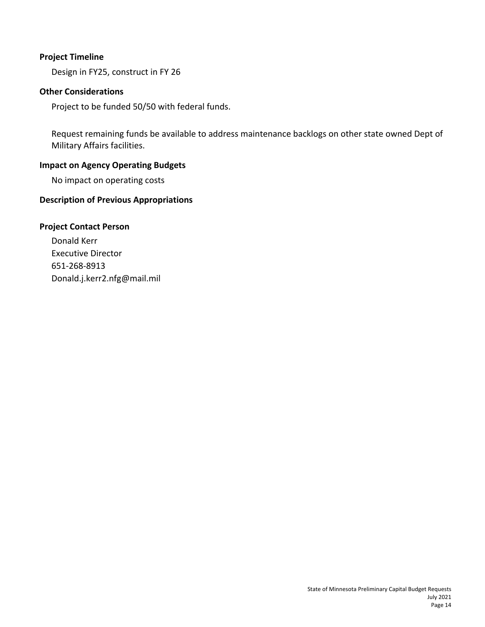Design in FY25, construct in FY 26

## **Other Considerations**

Project to be funded 50/50 with federal funds.

Request remaining funds be available to address maintenance backlogs on other state owned Dept of Military Affairs facilities.

## **Impact on Agency Operating Budgets**

No impact on operating costs

## **Description of Previous Appropriations**

## **Project Contact Person**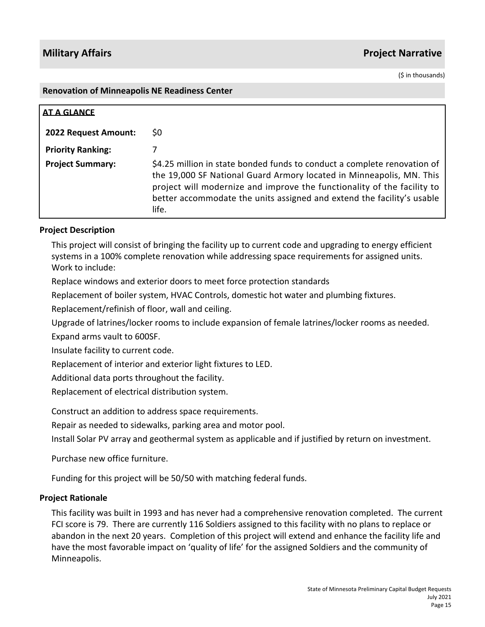(\$ in thousands)

#### **Renovation of Minneapolis NE Readiness Center**

| <b>AT A GLANCE</b>          |                                                                                                                                                                                                                                                                                                                |
|-----------------------------|----------------------------------------------------------------------------------------------------------------------------------------------------------------------------------------------------------------------------------------------------------------------------------------------------------------|
| <b>2022 Request Amount:</b> | S0                                                                                                                                                                                                                                                                                                             |
| <b>Priority Ranking:</b>    |                                                                                                                                                                                                                                                                                                                |
| <b>Project Summary:</b>     | \$4.25 million in state bonded funds to conduct a complete renovation of<br>the 19,000 SF National Guard Armory located in Minneapolis, MN. This<br>project will modernize and improve the functionality of the facility to<br>better accommodate the units assigned and extend the facility's usable<br>life. |

### **Project Description**

This project will consist of bringing the facility up to current code and upgrading to energy efficient systems in a 100% complete renovation while addressing space requirements for assigned units. Work to include:

Replace windows and exterior doors to meet force protection standards

Replacement of boiler system, HVAC Controls, domestic hot water and plumbing fixtures.

Replacement/refinish of floor, wall and ceiling.

Upgrade of latrines/locker rooms to include expansion of female latrines/locker rooms as needed.

Expand arms vault to 600SF.

Insulate facility to current code.

Replacement of interior and exterior light fixtures to LED.

Additional data ports throughout the facility.

Replacement of electrical distribution system.

Construct an addition to address space requirements.

Repair as needed to sidewalks, parking area and motor pool.

Install Solar PV array and geothermal system as applicable and if justified by return on investment.

Purchase new office furniture.

Funding for this project will be 50/50 with matching federal funds.

### **Project Rationale**

This facility was built in 1993 and has never had a comprehensive renovation completed. The current FCI score is 79. There are currently 116 Soldiers assigned to this facility with no plans to replace or abandon in the next 20 years. Completion of this project will extend and enhance the facility life and have the most favorable impact on 'quality of life' for the assigned Soldiers and the community of Minneapolis.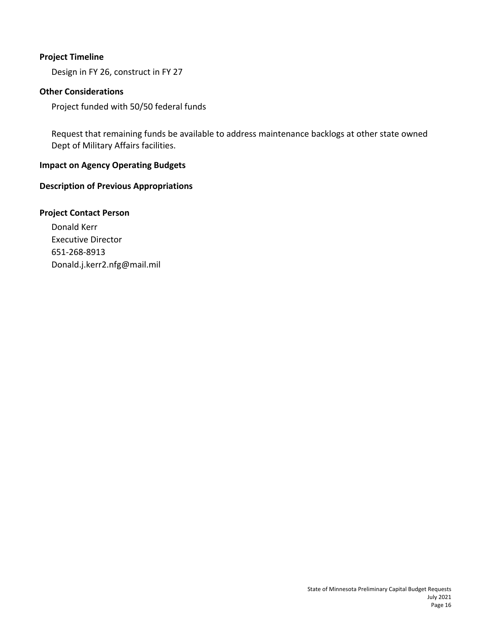Design in FY 26, construct in FY 27

## **Other Considerations**

Project funded with 50/50 federal funds

Request that remaining funds be available to address maintenance backlogs at other state owned Dept of Military Affairs facilities.

## **Impact on Agency Operating Budgets**

## **Description of Previous Appropriations**

### **Project Contact Person**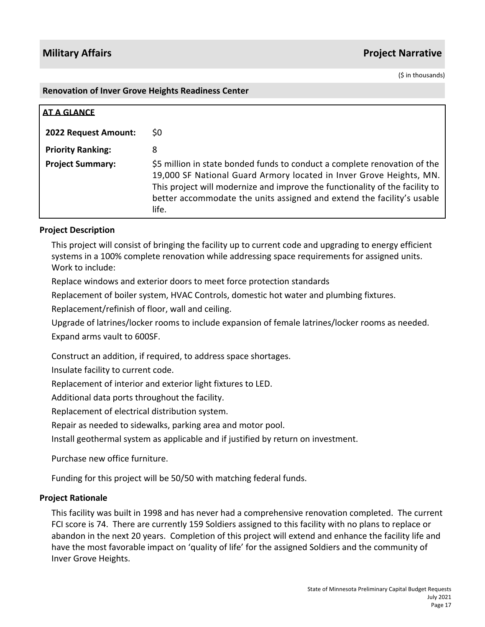(\$ in thousands)

#### **Renovation of Inver Grove Heights Readiness Center**

| AT A GLANCE              |                                                                                                                                                                                                                                                                                                                     |
|--------------------------|---------------------------------------------------------------------------------------------------------------------------------------------------------------------------------------------------------------------------------------------------------------------------------------------------------------------|
| 2022 Request Amount:     | S0                                                                                                                                                                                                                                                                                                                  |
| <b>Priority Ranking:</b> | 8                                                                                                                                                                                                                                                                                                                   |
| <b>Project Summary:</b>  | \$5 million in state bonded funds to conduct a complete renovation of the<br>19,000 SF National Guard Armory located in Inver Grove Heights, MN.<br>This project will modernize and improve the functionality of the facility to<br>better accommodate the units assigned and extend the facility's usable<br>life. |

### **Project Description**

This project will consist of bringing the facility up to current code and upgrading to energy efficient systems in a 100% complete renovation while addressing space requirements for assigned units. Work to include:

Replace windows and exterior doors to meet force protection standards

Replacement of boiler system, HVAC Controls, domestic hot water and plumbing fixtures.

Replacement/refinish of floor, wall and ceiling.

Upgrade of latrines/locker rooms to include expansion of female latrines/locker rooms as needed. Expand arms vault to 600SF.

Construct an addition, if required, to address space shortages.

Insulate facility to current code.

Replacement of interior and exterior light fixtures to LED.

Additional data ports throughout the facility.

Replacement of electrical distribution system.

Repair as needed to sidewalks, parking area and motor pool.

Install geothermal system as applicable and if justified by return on investment.

Purchase new office furniture.

Funding for this project will be 50/50 with matching federal funds.

#### **Project Rationale**

This facility was built in 1998 and has never had a comprehensive renovation completed. The current FCI score is 74. There are currently 159 Soldiers assigned to this facility with no plans to replace or abandon in the next 20 years. Completion of this project will extend and enhance the facility life and have the most favorable impact on 'quality of life' for the assigned Soldiers and the community of Inver Grove Heights.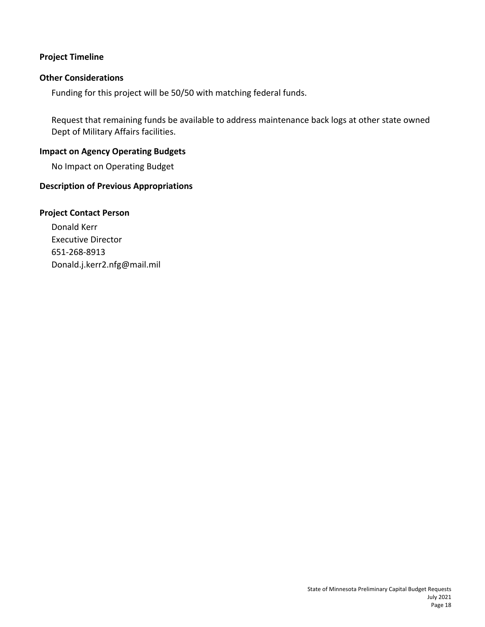### **Other Considerations**

Funding for this project will be 50/50 with matching federal funds.

Request that remaining funds be available to address maintenance back logs at other state owned Dept of Military Affairs facilities.

#### **Impact on Agency Operating Budgets**

No Impact on Operating Budget

### **Description of Previous Appropriations**

#### **Project Contact Person**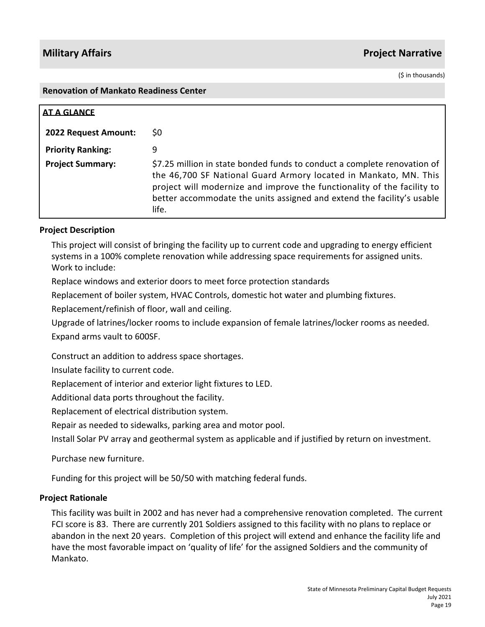(\$ in thousands)

#### **Renovation of Mankato Readiness Center**

| <b>AT A GLANCE</b>       |                                                                                                                                                                                                                                                                                                            |
|--------------------------|------------------------------------------------------------------------------------------------------------------------------------------------------------------------------------------------------------------------------------------------------------------------------------------------------------|
| 2022 Request Amount:     | S0                                                                                                                                                                                                                                                                                                         |
| <b>Priority Ranking:</b> | 9                                                                                                                                                                                                                                                                                                          |
| <b>Project Summary:</b>  | \$7.25 million in state bonded funds to conduct a complete renovation of<br>the 46,700 SF National Guard Armory located in Mankato, MN. This<br>project will modernize and improve the functionality of the facility to<br>better accommodate the units assigned and extend the facility's usable<br>life. |

## **Project Description**

This project will consist of bringing the facility up to current code and upgrading to energy efficient systems in a 100% complete renovation while addressing space requirements for assigned units. Work to include:

Replace windows and exterior doors to meet force protection standards

Replacement of boiler system, HVAC Controls, domestic hot water and plumbing fixtures.

Replacement/refinish of floor, wall and ceiling.

Upgrade of latrines/locker rooms to include expansion of female latrines/locker rooms as needed. Expand arms vault to 600SF.

Construct an addition to address space shortages.

Insulate facility to current code.

Replacement of interior and exterior light fixtures to LED.

Additional data ports throughout the facility.

Replacement of electrical distribution system.

Repair as needed to sidewalks, parking area and motor pool.

Install Solar PV array and geothermal system as applicable and if justified by return on investment.

Purchase new furniture.

Funding for this project will be 50/50 with matching federal funds.

### **Project Rationale**

This facility was built in 2002 and has never had a comprehensive renovation completed. The current FCI score is 83. There are currently 201 Soldiers assigned to this facility with no plans to replace or abandon in the next 20 years. Completion of this project will extend and enhance the facility life and have the most favorable impact on 'quality of life' for the assigned Soldiers and the community of Mankato.